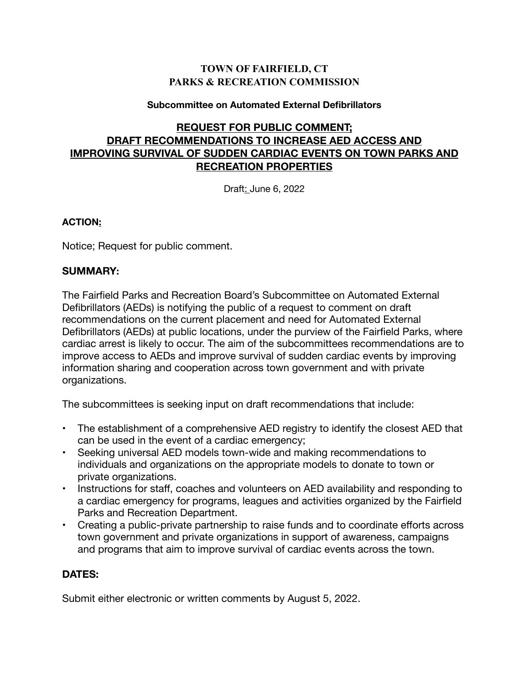## **TOWN OF FAIRFIELD, CT PARKS & RECREATION COMMISSION**

#### **Subcommittee on Automated External Defibrillators**

# **REQUEST FOR PUBLIC COMMENT; DRAFT RECOMMENDATIONS TO INCREASE AED ACCESS AND IMPROVING SURVIVAL OF SUDDEN CARDIAC EVENTS ON TOWN PARKS AND RECREATION PROPERTIES**

Draft: June 6, 2022

### **ACTION:**

Notice; Request for public comment.

## **SUMMARY:**

The Fairfield Parks and Recreation Board's Subcommittee on Automated External Defibrillators (AEDs) is notifying the public of a request to comment on draft recommendations on the current placement and need for Automated External Defibrillators (AEDs) at public locations, under the purview of the Fairfield Parks, where cardiac arrest is likely to occur. The aim of the subcommittees recommendations are to improve access to AEDs and improve survival of sudden cardiac events by improving information sharing and cooperation across town government and with private organizations.

The subcommittees is seeking input on draft recommendations that include:

- The establishment of a comprehensive AED registry to identify the closest AED that can be used in the event of a cardiac emergency;
- Seeking universal AED models town-wide and making recommendations to individuals and organizations on the appropriate models to donate to town or private organizations.
- Instructions for staff, coaches and volunteers on AED availability and responding to a cardiac emergency for programs, leagues and activities organized by the Fairfield Parks and Recreation Department.
- Creating a public-private partnership to raise funds and to coordinate efforts across town government and private organizations in support of awareness, campaigns and programs that aim to improve survival of cardiac events across the town.

## **DATES:**

Submit either electronic or written comments by August 5, 2022.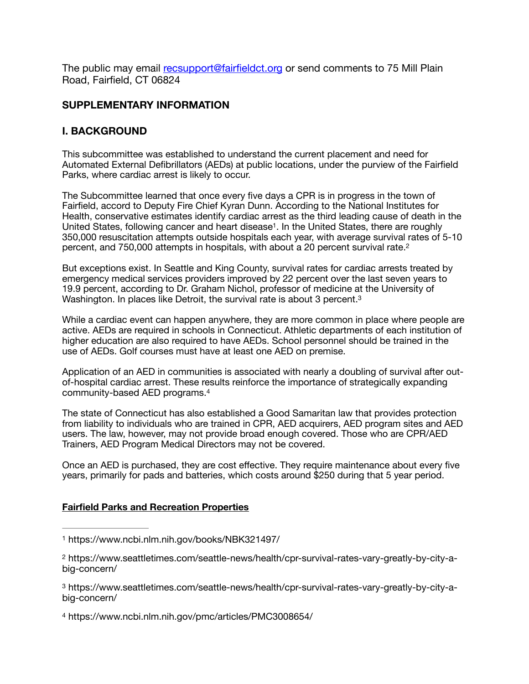The public may email [recsupport@fairfieldct.org](mailto:recsupport@fairfieldct.org) or send comments to 75 Mill Plain Road, Fairfield, CT 06824

#### **SUPPLEMENTARY INFORMATION**

### **I. BACKGROUND**

This subcommittee was established to understand the current placement and need for Automated External Defibrillators (AEDs) at public locations, under the purview of the Fairfield Parks, where cardiac arrest is likely to occur.

<span id="page-1-4"></span>The Subcommittee learned that once every five days a CPR is in progress in the town of Fairfield, accord to Deputy Fire Chief Kyran Dunn. According to the National Institutes for Health, conservative estimates identify cardiac arrest as the third leading cause of death in the United States, following cancer and heart disease<sup>1</sup>[.](#page-1-0) In the United States, there are roughly 350,000 resuscitation attempts outside hospitals each year, with average survival rates of 5-10 percent, and 750,000 attempts in hospitals, with about a 20 percent survival rate.[2](#page-1-1)

<span id="page-1-5"></span>But exceptions exist. In Seattle and King County, survival rates for cardiac arrests treated by emergency medical services providers improved by 22 percent over the last seven years to 19.9 percent, according to Dr. Graham Nichol, professor of medicine at the University of Washington. In places like Detroit, the survival rate is about 3 percent.<sup>3</sup>

<span id="page-1-6"></span>While a cardiac event can happen anywhere, they are more common in place where people are active. AEDs are required in schools in Connecticut. Athletic departments of each institution of higher education are also required to have AEDs. School personnel should be trained in the use of AEDs. Golf courses must have at least one AED on premise.

<span id="page-1-7"></span>Application of an AED in communities is associated with nearly a doubling of survival after outof-hospital cardiac arrest. These results reinforce the importance of strategically expanding community-based AED programs[.4](#page-1-3)

The state of Connecticut has also established a Good Samaritan law that provides protection from liability to individuals who are trained in CPR, AED acquirers, AED program sites and AED users. The law, however, may not provide broad enough covered. Those who are CPR/AED Trainers, AED Program Medical Directors may not be covered.

Once an AED is purchased, they are cost effective. They require maintenance about every five years, primarily for pads and batteries, which costs around \$250 during that 5 year period.

#### **Fairfield Parks and Recreation Properties**

<span id="page-1-3"></span>https://www.ncbi.nlm.nih.gov/pmc/articles/PMC3008654/ [4](#page-1-7)

<span id="page-1-0"></span>https://www.ncbi.nlm.nih.gov/books/NBK321497/ [1](#page-1-4)

<span id="page-1-1"></span>https://www.seattletimes.com/seattle-news/health/cpr-survival-rates-vary-greatly-by-city-a- [2](#page-1-5) big-concern/

<span id="page-1-2"></span>https://www.seattletimes.com/seattle-news/health/cpr-survival-rates-vary-greatly-by-city-a- [3](#page-1-6) big-concern/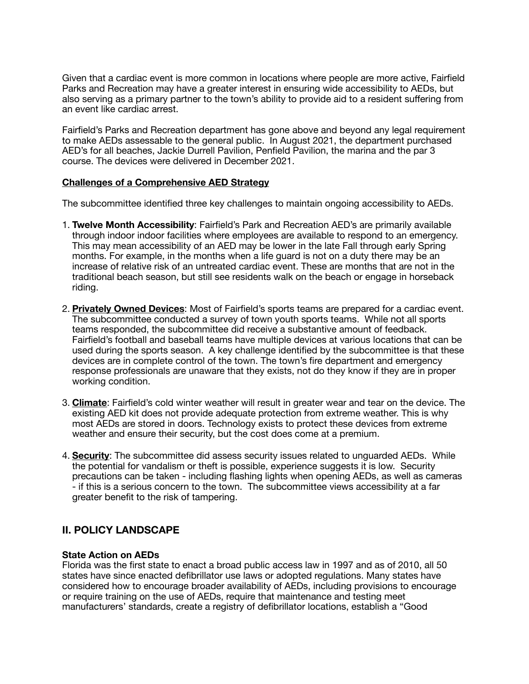Given that a cardiac event is more common in locations where people are more active, Fairfield Parks and Recreation may have a greater interest in ensuring wide accessibility to AEDs, but also serving as a primary partner to the town's ability to provide aid to a resident suffering from an event like cardiac arrest.

Fairfield's Parks and Recreation department has gone above and beyond any legal requirement to make AEDs assessable to the general public. In August 2021, the department purchased AED's for all beaches, Jackie Durrell Pavilion, Penfield Pavilion, the marina and the par 3 course. The devices were delivered in December 2021.

#### **Challenges of a Comprehensive AED Strategy**

The subcommittee identified three key challenges to maintain ongoing accessibility to AEDs.

- 1. **Twelve Month Accessibility**: Fairfield's Park and Recreation AED's are primarily available through indoor indoor facilities where employees are available to respond to an emergency. This may mean accessibility of an AED may be lower in the late Fall through early Spring months. For example, in the months when a life guard is not on a duty there may be an increase of relative risk of an untreated cardiac event. These are months that are not in the traditional beach season, but still see residents walk on the beach or engage in horseback riding.
- 2. **Privately Owned Devices**: Most of Fairfield's sports teams are prepared for a cardiac event. The subcommittee conducted a survey of town youth sports teams. While not all sports teams responded, the subcommittee did receive a substantive amount of feedback. Fairfield's football and baseball teams have multiple devices at various locations that can be used during the sports season. A key challenge identified by the subcommittee is that these devices are in complete control of the town. The town's fire department and emergency response professionals are unaware that they exists, not do they know if they are in proper working condition.
- 3. **Climate**: Fairfield's cold winter weather will result in greater wear and tear on the device. The existing AED kit does not provide adequate protection from extreme weather. This is why most AEDs are stored in doors. Technology exists to protect these devices from extreme weather and ensure their security, but the cost does come at a premium.
- 4. **Security**: The subcommittee did assess security issues related to unguarded AEDs. While the potential for vandalism or theft is possible, experience suggests it is low. Security precautions can be taken - including flashing lights when opening AEDs, as well as cameras - if this is a serious concern to the town. The subcommittee views accessibility at a far greater benefit to the risk of tampering.

## **II. POLICY LANDSCAPE**

#### **State Action on AEDs**

Florida was the first state to enact a broad public access law in 1997 and as of 2010, all 50 states have since enacted defibrillator use laws or adopted regulations. Many states have considered how to encourage broader availability of AEDs, including provisions to encourage or require training on the use of AEDs, require that maintenance and testing meet manufacturers' standards, create a registry of defibrillator locations, establish a "Good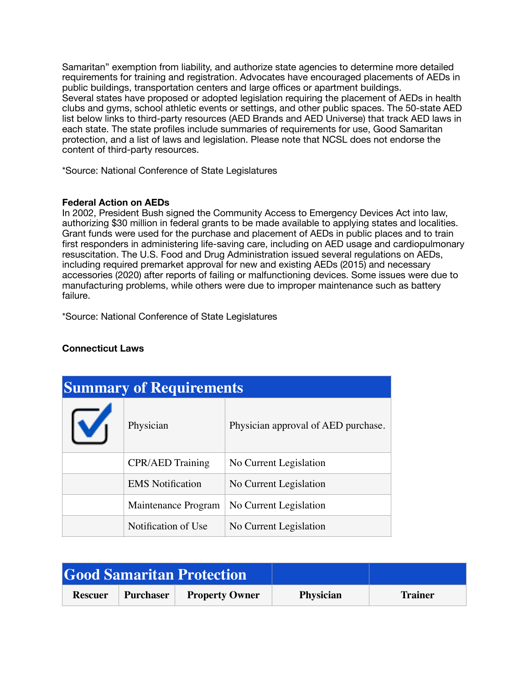Samaritan" exemption from liability, and authorize state agencies to determine more detailed requirements for training and registration. Advocates have encouraged placements of AEDs in public buildings, transportation centers and large offices or apartment buildings. Several states have proposed or adopted legislation requiring the placement of AEDs in health clubs and gyms, school athletic events or settings, and other public spaces. The 50-state AED list below links to third-party resources (AED Brands and AED Universe) that track AED laws in each state. The state profiles include summaries of requirements for use, Good Samaritan protection, and a list of laws and legislation. Please note that NCSL does not endorse the content of third-party resources.

\*Source: National Conference of State Legislatures

#### **Federal Action on AEDs**

In 2002, President Bush signed the Community Access to Emergency Devices Act into law, authorizing \$30 million in federal grants to be made available to applying states and localities. Grant funds were used for the purchase and placement of AEDs in public places and to train first responders in administering life-saving care, including on AED usage and cardiopulmonary resuscitation. The U.S. Food and Drug Administration issued several regulations on AEDs, including required premarket approval for new and existing AEDs (2015) and necessary accessories (2020) after reports of failing or malfunctioning devices. Some issues were due to manufacturing problems, while others were due to improper maintenance such as battery failure.

\*Source: National Conference of State Legislatures

| <b>Summary of Requirements</b> |                         |                                     |  |  |
|--------------------------------|-------------------------|-------------------------------------|--|--|
| M                              | Physician               | Physician approval of AED purchase. |  |  |
|                                | <b>CPR/AED Training</b> | No Current Legislation              |  |  |
|                                | <b>EMS</b> Notification | No Current Legislation              |  |  |
|                                | Maintenance Program     | No Current Legislation              |  |  |
|                                | Notification of Use     | No Current Legislation              |  |  |

## **Connecticut Laws**

| <b>Good Samaritan Protection</b> |  |                                 |                  |                |
|----------------------------------|--|---------------------------------|------------------|----------------|
| <b>Rescuer</b>                   |  | <b>Purchaser</b> Property Owner | <b>Physician</b> | <b>Trainer</b> |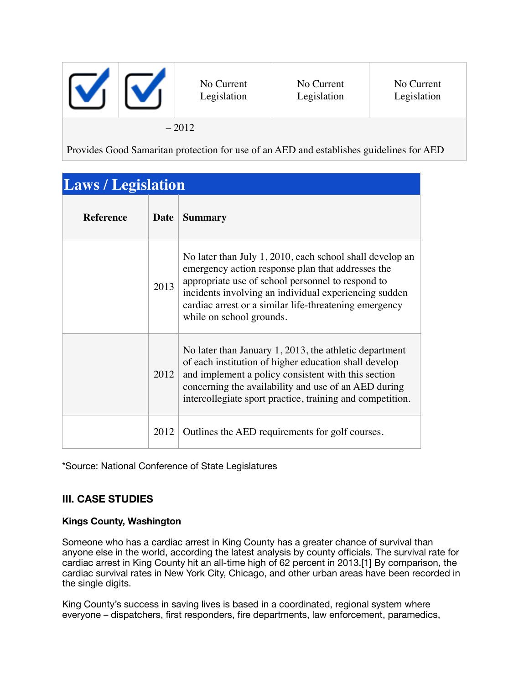|         |  | No Current<br>Legislation | No Current<br>Legislation | No Current<br>Legislation |
|---------|--|---------------------------|---------------------------|---------------------------|
| $-2012$ |  |                           |                           |                           |

Provides Good Samaritan protection for use of an AED and establishes guidelines for AED

| <b>Laws</b> / Legislation |      |                                                                                                                                                                                                                                                                                                                   |
|---------------------------|------|-------------------------------------------------------------------------------------------------------------------------------------------------------------------------------------------------------------------------------------------------------------------------------------------------------------------|
| <b>Reference</b>          | Date | <b>Summary</b>                                                                                                                                                                                                                                                                                                    |
|                           | 2013 | No later than July 1, 2010, each school shall develop an<br>emergency action response plan that addresses the<br>appropriate use of school personnel to respond to<br>incidents involving an individual experiencing sudden<br>cardiac arrest or a similar life-threatening emergency<br>while on school grounds. |
|                           | 2012 | No later than January 1, 2013, the athletic department<br>of each institution of higher education shall develop<br>and implement a policy consistent with this section<br>concerning the availability and use of an AED during<br>intercollegiate sport practice, training and competition.                       |
|                           | 2012 | Outlines the AED requirements for golf courses.                                                                                                                                                                                                                                                                   |

\*Source: National Conference of State Legislatures

# **III. CASE STUDIES**

programs.

## **Kings County, Washington**

Someone who has a cardiac arrest in King County has a greater chance of survival than anyone else in the world, according the latest analysis by county officials. The survival rate for cardiac arrest in King County hit an all-time high of 62 percent in 2013.[1] By comparison, the cardiac survival rates in New York City, Chicago, and other urban areas have been recorded in the single digits.

King County's success in saving lives is based in a coordinated, regional system where everyone – dispatchers, first responders, fire departments, law enforcement, paramedics,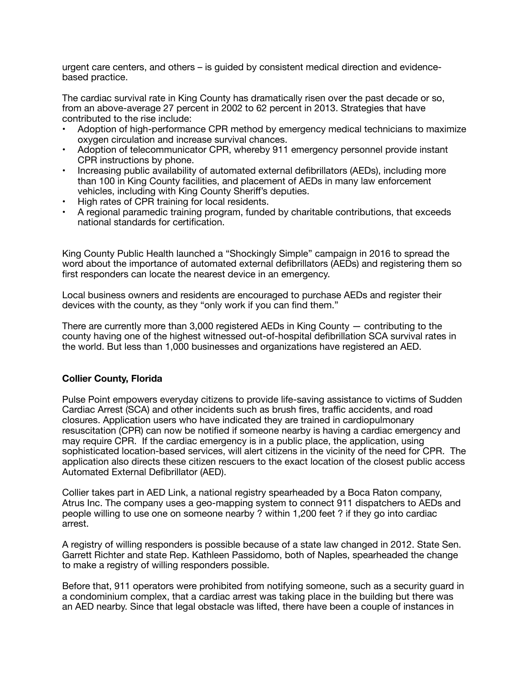urgent care centers, and others – is guided by consistent medical direction and evidencebased practice.

The cardiac survival rate in King County has dramatically risen over the past decade or so, from an above-average 27 percent in 2002 to 62 percent in 2013. Strategies that have contributed to the rise include:

- Adoption of high-performance CPR method by emergency medical technicians to maximize oxygen circulation and increase survival chances.
- Adoption of telecommunicator CPR, whereby 911 emergency personnel provide instant CPR instructions by phone.
- Increasing public availability of automated external defibrillators (AEDs), including more than 100 in King County facilities, and placement of AEDs in many law enforcement vehicles, including with King County Sheriff's deputies.
- High rates of CPR training for local residents.
- A regional paramedic training program, funded by charitable contributions, that exceeds national standards for certification.

King County Public Health launched a "Shockingly Simple" campaign in 2016 to spread the word about the importance of automated external defibrillators (AEDs) and registering them so first responders can locate the nearest device in an emergency.

Local business owners and residents are encouraged to purchase AEDs and register their devices with the county, as they "only work if you can find them."

There are currently more than 3,000 registered AEDs in King County — contributing to the county having one of the highest witnessed out-of-hospital defibrillation SCA survival rates in the world. But less than 1,000 businesses and organizations have registered an AED.

#### **Collier County, Florida**

Pulse Point empowers everyday citizens to provide life-saving assistance to victims of Sudden Cardiac Arrest (SCA) and other incidents such as brush fires, traffic accidents, and road closures. Application users who have indicated they are trained in cardiopulmonary resuscitation (CPR) can now be notified if someone nearby is having a cardiac emergency and may require CPR. If the cardiac emergency is in a public place, the application, using sophisticated location-based services, will alert citizens in the vicinity of the need for CPR. The application also directs these citizen rescuers to the exact location of the closest public access Automated External Defibrillator (AED).

Collier takes part in AED Link, a national registry spearheaded by a Boca Raton company, Atrus Inc. The company uses a geo-mapping system to connect 911 dispatchers to AEDs and people willing to use one on someone nearby ? within 1,200 feet ? if they go into cardiac arrest.

A registry of willing responders is possible because of a state law changed in 2012. State Sen. Garrett Richter and state Rep. Kathleen Passidomo, both of Naples, spearheaded the change to make a registry of willing responders possible.

Before that, 911 operators were prohibited from notifying someone, such as a security guard in a condominium complex, that a cardiac arrest was taking place in the building but there was an AED nearby. Since that legal obstacle was lifted, there have been a couple of instances in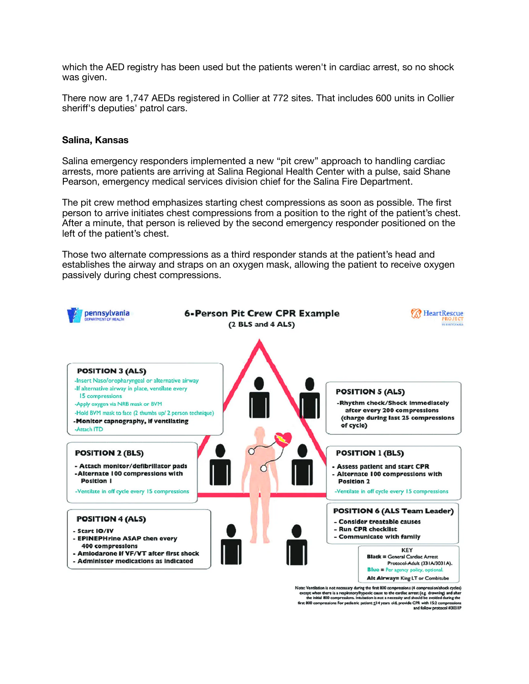which the AED registry has been used but the patients weren't in cardiac arrest, so no shock was given.

There now are 1,747 AEDs registered in Collier at 772 sites. That includes 600 units in Collier sheriff's deputies' patrol cars.

#### **Salina, Kansas**

Salina emergency responders implemented a new "pit crew" approach to handling cardiac arrests, more patients are arriving at Salina Regional Health Center with a pulse, said Shane Pearson, emergency medical services division chief for the Salina Fire Department.

The pit crew method emphasizes starting chest compressions as soon as possible. The first person to arrive initiates chest compressions from a position to the right of the patient's chest. After a minute, that person is relieved by the second emergency responder positioned on the left of the patient's chest.

Those two alternate compressions as a third responder stands at the patient's head and establishes the airway and straps on an oxygen mask, allowing the patient to receive oxygen passively during chest compressions.



Note: Ventilation is not necessary during the first 800 compressions (4 compression/shock cycles) lote: Ventilation is not necessary during the first 800 compressions (4 compressions hock cycles)<br>except when there is a respiratory/hypoxic cause to the cardiac arrest (e.g. drowning) and after<br>the initial 800 compression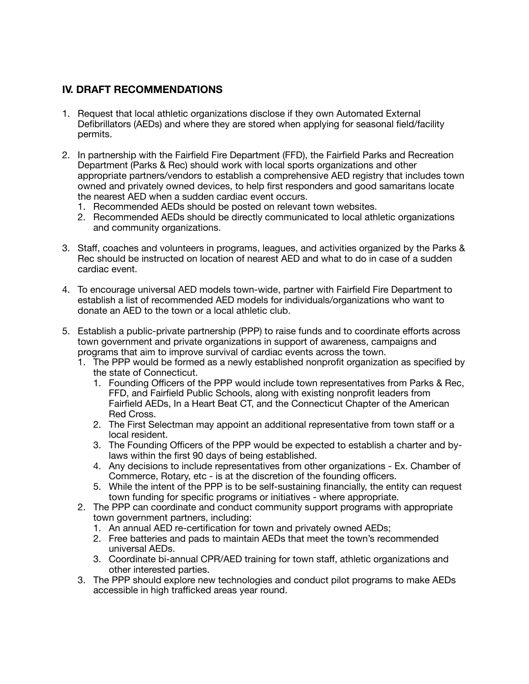# **IV. DRAFT RECOMMENDATIONS**

- 1. Request that local athletic organizations disclose if they own Automated External Defibrillators (AEDs) and where they are stored when applying for seasonal field/facility permits.
- 2. In partnership with the Fairfield Fire Department (FFD), the Fairfield Parks and Recreation Department (Parks & Rec) should work with local sports organizations and other appropriate partners/vendors to establish a comprehensive AED registry that includes town owned and privately owned devices, to help first responders and good samaritans locate the nearest AED when a sudden cardiac event occurs.
	- 1. Recommended AEDs should be posted on relevant town websites.
	- 2. Recommended AEDs should be directly communicated to local athletic organizations and community organizations.
- 3. Staff, coaches and volunteers in programs, leagues, and activities organized by the Parks & Rec should be instructed on location of nearest AED and what to do in case of a sudden cardiac event.
- 4. To encourage universal AED models town-wide, partner with Fairfield Fire Department to establish a list of recommended AED models for individuals/organizations who want to donate an AED to the town or a local athletic club.
- 5. Establish a public-private partnership (PPP) to raise funds and to coordinate efforts across town government and private organizations in support of awareness, campaigns and programs that aim to improve survival of cardiac events across the town.
	- 1. The PPP would be formed as a newly established nonprofit organization as specified by the state of Connecticut.
		- 1. Founding Officers of the PPP would include town representatives from Parks & Rec, FFD, and Fairfield Public Schools, along with existing nonprofit leaders from Fairfield AEDs, In a Heart Beat CT, and the Connecticut Chapter of the American Red Cross.
		- 2. The First Selectman may appoint an additional representative from town staff or a local resident.
		- 3. The Founding Officers of the PPP would be expected to establish a charter and bylaws within the first 90 days of being established.
		- 4. Any decisions to include representatives from other organizations Ex. Chamber of Commerce, Rotary, etc - is at the discretion of the founding officers.
		- 5. While the intent of the PPP is to be self-sustaining financially, the entity can request town funding for specific programs or initiatives - where appropriate.
	- 2. The PPP can coordinate and conduct community support programs with appropriate town government partners, including:
		- 1. An annual AED re-certification for town and privately owned AEDs;
		- 2. Free batteries and pads to maintain AEDs that meet the town's recommended universal AEDs.
		- 3. Coordinate bi-annual CPR/AED training for town staff, athletic organizations and other interested parties.
	- 3. The PPP should explore new technologies and conduct pilot programs to make AEDs accessible in high trafficked areas year round.